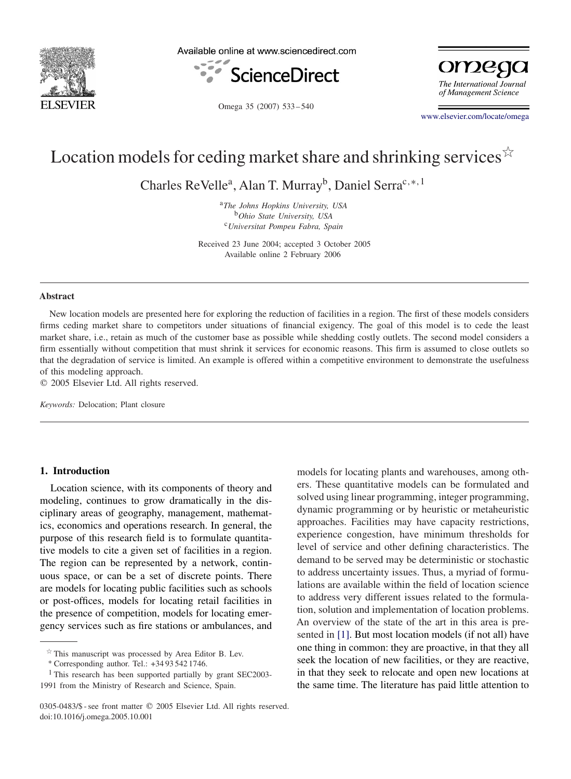

Available online at www.sciencedirect.com





Omega 35 (2007) 533 – 540

[www.elsevier.com/locate/omega](http://www.elsevier.com/locate/omega)

## Location models for ceding market share and shrinking services  $\overleftrightarrow{\cdot}$

Charles ReVelle<sup>a</sup>, Alan T. Murray<sup>b</sup>, Daniel Serra<sup>c,</sup> \*<sup>, 1</sup>

<sup>a</sup>*The Johns Hopkins University, USA* <sup>b</sup>*Ohio State University, USA* <sup>c</sup>*Universitat Pompeu Fabra, Spain*

Received 23 June 2004; accepted 3 October 2005 Available online 2 February 2006

## **Abstract**

New location models are presented here for exploring the reduction of facilities in a region. The first of these models considers firms ceding market share to competitors under situations of financial exigency. The goal of this model is to cede the least market share, i.e., retain as much of the customer base as possible while shedding costly outlets. The second model considers a firm essentially without competition that must shrink it services for economic reasons. This firm is assumed to close outlets so that the degradation of service is limited. An example is offered within a competitive environment to demonstrate the usefulness of this modeling approach.

2005 Elsevier Ltd. All rights reserved.

*Keywords:* Delocation; Plant closure

## **1. Introduction**

Location science, with its components of theory and modeling, continues to grow dramatically in the disciplinary areas of geography, management, mathematics, economics and operations research. In general, the purpose of this research field is to formulate quantitative models to cite a given set of facilities in a region. The region can be represented by a network, continuous space, or can be a set of discrete points. There are models for locating public facilities such as schools or post-offices, models for locating retail facilities in the presence of competition, models for locating emergency services such as fire stations or ambulances, and models for locating plants and warehouses, among others. These quantitative models can be formulated and solved using linear programming, integer programming, dynamic programming or by heuristic or metaheuristic approaches. Facilities may have capacity restrictions, experience congestion, have minimum thresholds for level of service and other defining characteristics. The demand to be served may be deterministic or stochastic to address uncertainty issues. Thus, a myriad of formulations are available within the field of location science to address very different issues related to the formulation, solution and implementation of location problems. An overview of the state of the art in this area is presented in [\[1\].](#page--1-0) But most location models (if not all) have one thing in common: they are proactive, in that they all seek the location of new facilities, or they are reactive, in that they seek to relocate and open new locations at the same time. The literature has paid little attention to

 $*$  This manuscript was processed by Area Editor B. Lev.

<sup>∗</sup> Corresponding author. Tel.: +34 93 542 1746.

<sup>&</sup>lt;sup>1</sup> This research has been supported partially by grant SEC2003-

<sup>1991</sup> from the Ministry of Research and Science, Spain.

<sup>0305-0483/\$ -</sup> see front matter © 2005 Elsevier Ltd. All rights reserved. doi:10.1016/j.omega.2005.10.001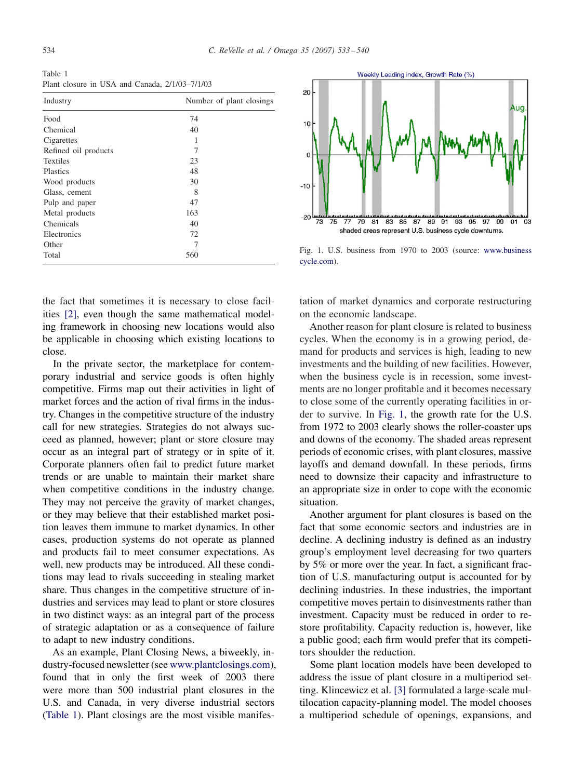Table 1 Plant closure in USA and Canada, 2/1/03–7/1/03

| Industry             | Number of plant closings |
|----------------------|--------------------------|
| Food                 | 74                       |
| Chemical             | 40                       |
| Cigarettes           | 1                        |
| Refined oil products | 7                        |
| <b>Textiles</b>      | 23                       |
| Plastics             | 48                       |
| Wood products        | 30                       |
| Glass, cement        | 8                        |
| Pulp and paper       | 47                       |
| Metal products       | 163                      |
| Chemicals            | 40                       |
| Electronics          | 72                       |
| Other                | 7                        |
| Total                | 560                      |



Fig. 1. U.S. business from 1970 to 2003 (source: [www.business](http://www.businesscycle.com) [cycle.com\)](http://www.businesscycle.com).

the fact that sometimes it is necessary to close facilities [\[2\],](#page--1-0) even though the same mathematical modeling framework in choosing new locations would also be applicable in choosing which existing locations to close.

In the private sector, the marketplace for contemporary industrial and service goods is often highly competitive. Firms map out their activities in light of market forces and the action of rival firms in the industry. Changes in the competitive structure of the industry call for new strategies. Strategies do not always succeed as planned, however; plant or store closure may occur as an integral part of strategy or in spite of it. Corporate planners often fail to predict future market trends or are unable to maintain their market share when competitive conditions in the industry change. They may not perceive the gravity of market changes, or they may believe that their established market position leaves them immune to market dynamics. In other cases, production systems do not operate as planned and products fail to meet consumer expectations. As well, new products may be introduced. All these conditions may lead to rivals succeeding in stealing market share. Thus changes in the competitive structure of industries and services may lead to plant or store closures in two distinct ways: as an integral part of the process of strategic adaptation or as a consequence of failure to adapt to new industry conditions.

As an example, Plant Closing News, a biweekly, industry-focused newsletter (see [www.plantclosings.com\)](http://www.plantclosings.com), found that in only the first week of 2003 there were more than 500 industrial plant closures in the U.S. and Canada, in very diverse industrial sectors (Table 1). Plant closings are the most visible manifestation of market dynamics and corporate restructuring on the economic landscape.

Another reason for plant closure is related to business cycles. When the economy is in a growing period, demand for products and services is high, leading to new investments and the building of new facilities. However, when the business cycle is in recession, some investments are no longer profitable and it becomes necessary to close some of the currently operating facilities in order to survive. In Fig. 1, the growth rate for the U.S. from 1972 to 2003 clearly shows the roller-coaster ups and downs of the economy. The shaded areas represent periods of economic crises, with plant closures, massive layoffs and demand downfall. In these periods, firms need to downsize their capacity and infrastructure to an appropriate size in order to cope with the economic situation.

Another argument for plant closures is based on the fact that some economic sectors and industries are in decline. A declining industry is defined as an industry group's employment level decreasing for two quarters by 5% or more over the year. In fact, a significant fraction of U.S. manufacturing output is accounted for by declining industries. In these industries, the important competitive moves pertain to disinvestments rather than investment. Capacity must be reduced in order to restore profitability. Capacity reduction is, however, like a public good; each firm would prefer that its competitors shoulder the reduction.

Some plant location models have been developed to address the issue of plant closure in a multiperiod setting. Klincewicz et al. [\[3\]](#page--1-0) formulated a large-scale multilocation capacity-planning model. The model chooses a multiperiod schedule of openings, expansions, and